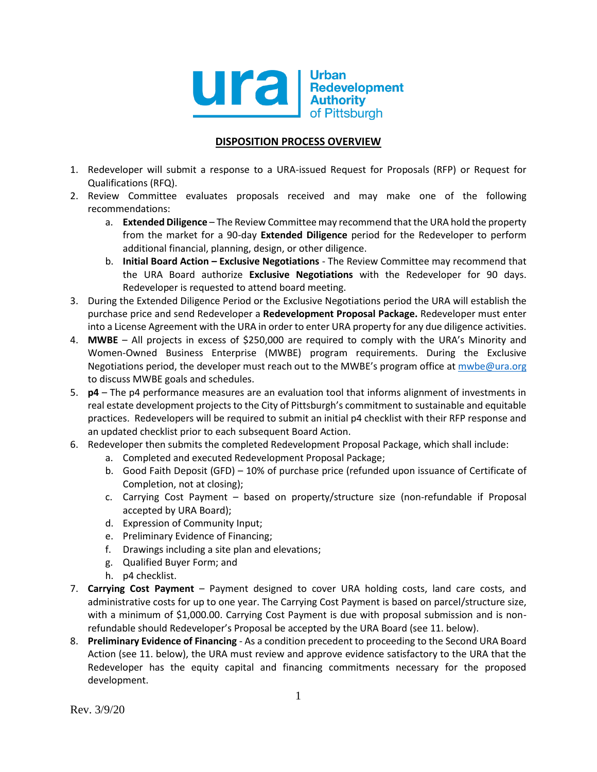

## **DISPOSITION PROCESS OVERVIEW**

- 1. Redeveloper will submit a response to a URA-issued Request for Proposals (RFP) or Request for Qualifications (RFQ).
- 2. Review Committee evaluates proposals received and may make one of the following recommendations:
	- a. **Extended Diligence** The Review Committee may recommend that the URA hold the property from the market for a 90-day **Extended Diligence** period for the Redeveloper to perform additional financial, planning, design, or other diligence.
	- b. **Initial Board Action – Exclusive Negotiations** The Review Committee may recommend that the URA Board authorize **Exclusive Negotiations** with the Redeveloper for 90 days. Redeveloper is requested to attend board meeting.
- 3. During the Extended Diligence Period or the Exclusive Negotiations period the URA will establish the purchase price and send Redeveloper a **Redevelopment Proposal Package.** Redeveloper must enter into a License Agreement with the URA in order to enter URA property for any due diligence activities.
- 4. **MWBE** All projects in excess of \$250,000 are required to comply with the URA's Minority and Women-Owned Business Enterprise (MWBE) program requirements. During the Exclusive Negotiations period, the developer must reach out to the MWBE's program office at [mwbe@ura.org](mailto:mwbe@ura.org) to discuss MWBE goals and schedules.
- 5. **p4** The p4 performance measures are an evaluation tool that informs alignment of investments in real estate development projects to the City of Pittsburgh's commitment to sustainable and equitable practices. Redevelopers will be required to submit an initial p4 checklist with their RFP response and an updated checklist prior to each subsequent Board Action.
- 6. Redeveloper then submits the completed Redevelopment Proposal Package, which shall include:
	- a. Completed and executed Redevelopment Proposal Package;
	- b. Good Faith Deposit (GFD) 10% of purchase price (refunded upon issuance of Certificate of Completion, not at closing);
	- c. Carrying Cost Payment based on property/structure size (non-refundable if Proposal accepted by URA Board);
	- d. Expression of Community Input;
	- e. Preliminary Evidence of Financing;
	- f. Drawings including a site plan and elevations;
	- g. Qualified Buyer Form; and
	- h. p4 checklist.
- 7. **Carrying Cost Payment** Payment designed to cover URA holding costs, land care costs, and administrative costs for up to one year. The Carrying Cost Payment is based on parcel/structure size, with a minimum of \$1,000.00. Carrying Cost Payment is due with proposal submission and is nonrefundable should Redeveloper's Proposal be accepted by the URA Board (see 11. below).
- 8. **Preliminary Evidence of Financing** As a condition precedent to proceeding to the Second URA Board Action (see 11. below), the URA must review and approve evidence satisfactory to the URA that the Redeveloper has the equity capital and financing commitments necessary for the proposed development.